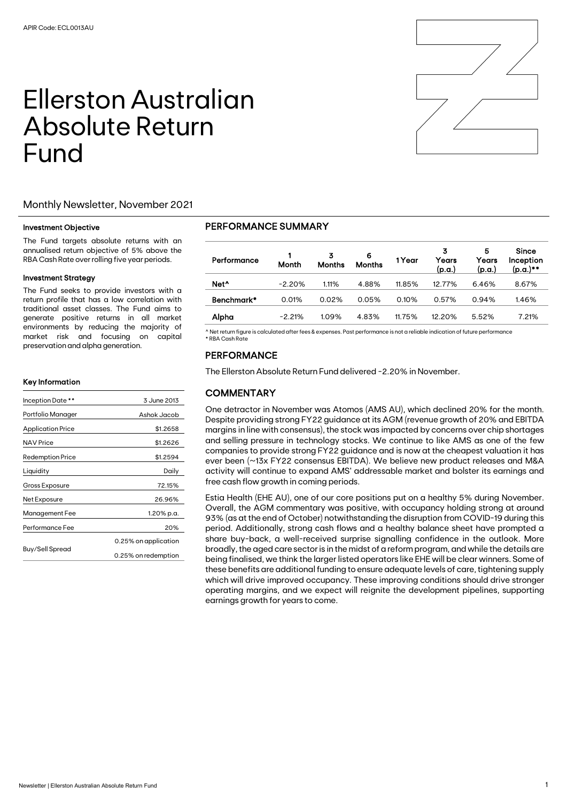# Ellerston Australian Absolute Return Fund



#### Investment Objective

The Fund targets absolute returns with an annualised return objective of 5% above the RBA Cash Rate over rolling five year periods.

#### Investment Strategy

The Fund seeks to provide investors with a return profile that has a low correlation with traditional asset classes. The Fund aims to generate positive returns in all market environments by reducing the majority of market risk and focusing on capital preservation and alpha generation.

#### Key Information

| Inception Date **        | 3 June 2013          |  |  |
|--------------------------|----------------------|--|--|
| Portfolio Manager        | Ashok Jacob          |  |  |
| <b>Application Price</b> | \$1.2658             |  |  |
| <b>NAV Price</b>         | \$1.2626             |  |  |
| <b>Redemption Price</b>  | \$1.2594             |  |  |
| Liquidity                | Daily                |  |  |
| Gross Exposure           | 72.15%               |  |  |
| Net Exposure             | 26.96%               |  |  |
| Management Fee           | 1.20% p.a.           |  |  |
| Performance Fee          | 20%                  |  |  |
|                          | 0.25% on application |  |  |
| Buy/Sell Spread          | 0.25% on redemption  |  |  |

### PERFORMANCE SUMMARY

| Performance      | Month    | 3<br><b>Months</b> | 6<br><b>Months</b> | 1 Year | 3<br>Years<br>(p.a.) | 5<br>Years<br>(p.a.) | Since<br>Inception<br>(p.a.)** |
|------------------|----------|--------------------|--------------------|--------|----------------------|----------------------|--------------------------------|
| Net <sup>^</sup> | $-2.20%$ | 1.11%              | 4.88%              | 11.85% | 12.77%               | 6.46%                | 8.67%                          |
| Benchmark*       | 0.01%    | 0.02%              | 0.05%              | 0.10%  | 0.57%                | 0.94%                | 1.46%                          |
| Alpha            | $-2.21%$ | 1.09%              | 4.83%              | 11.75% | 12.20%               | 5.52%                | 7.21%                          |

^ Net return figure is calculated after fees & expenses. Past performance is not a reliable indication of future performance \* RBA Cash Rate

## PERFORMANCE

The Ellerston Absolute Return Fund delivered -2.20% in November.

# **COMMENTARY**

One detractor in November was Atomos (AMS AU), which declined 20% for the month. Despite providing strong FY22 guidance at its AGM (revenue growth of 20% and EBITDA margins in line with consensus), the stock was impacted by concerns over chip shortages and selling pressure in technology stocks. We continue to like AMS as one of the few companies to provide strong FY22 guidance and is now at the cheapest valuation it has ever been (~13x FY22 consensus EBITDA). We believe new product releases and M&A activity will continue to expand AMS' addressable market and bolster its earnings and free cash flow growth in coming periods.

Estia Health (EHE AU), one of our core positions put on a healthy 5% during November. Overall, the AGM commentary was positive, with occupancy holding strong at around 93% (as at the end of October) notwithstanding the disruption from COVID-19 during this period. Additionally, strong cash flows and a healthy balance sheet have prompted a share buy-back, a well-received surprise signalling confidence in the outlook. More broadly, the aged care sector is in the midst of a reform program, and while the details are being finalised, we think the larger listed operators like EHE will be clear winners. Some of these benefits are additional funding to ensure adequate levels of care, tightening supply which will drive improved occupancy. These improving conditions should drive stronger operating margins, and we expect will reignite the development pipelines, supporting earnings growth for years to come.